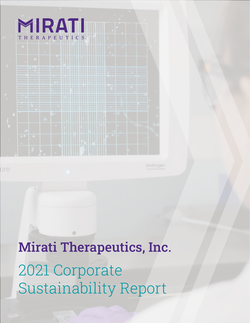### MIRATI THERAPEUTICS

|  | THE R. P. LEWIS CO., LANSING, MICH. 49-14039-1-120-2<br>below and company of the company of the second second second second second second second second second second<br><b>Commercial Commercial Commercial EXIST EXIST EXIST EXIST EXIST PROPERTY COMMERCIAL CONTRACTOR</b><br><b>CONTROL CONTINUES SEE CHARGE IS NEW PERFECT IN THE REAL PROPERTY AND INVESTIGATION</b><br>The company of the company of the top of the top of the top of the top of the company of the company of the company of the top of the company of the company of the company of the company of the company of the company of th |  |  |  |  |  |
|--|--------------------------------------------------------------------------------------------------------------------------------------------------------------------------------------------------------------------------------------------------------------------------------------------------------------------------------------------------------------------------------------------------------------------------------------------------------------------------------------------------------------------------------------------------------------------------------------------------------------|--|--|--|--|--|
|  |                                                                                                                                                                                                                                                                                                                                                                                                                                                                                                                                                                                                              |  |  |  |  |  |
|  |                                                                                                                                                                                                                                                                                                                                                                                                                                                                                                                                                                                                              |  |  |  |  |  |
|  |                                                                                                                                                                                                                                                                                                                                                                                                                                                                                                                                                                                                              |  |  |  |  |  |
|  |                                                                                                                                                                                                                                                                                                                                                                                                                                                                                                                                                                                                              |  |  |  |  |  |

2021 Corporate Sustainability Report Mirati Therapeutics, Inc.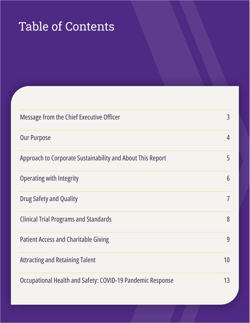# <span id="page-1-0"></span>Table of Contents

| <b>Message from the Chief Executive Officer</b>            | $\overline{3}$ |
|------------------------------------------------------------|----------------|
| <b>Our Purpose</b>                                         | 4              |
| Approach to Corporate Sustainability and About This Report | 5              |
| <b>Operating with Integrity</b>                            | 6              |
| <b>Drug Safety and Quality</b>                             | $\overline{7}$ |
| <b>Clinical Trial Programs and Standards</b>               | 8              |
| <b>Patient Access and Charitable Giving</b>                | 9              |
| <b>Attracting and Retaining Talent</b>                     | 10             |
| Occupational Health and Safety: COVID-19 Pandemic Response | 13             |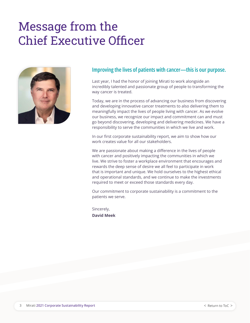## Message from the Chief Executive Officer



#### **Improving the lives of patients with cancer—this is our purpose.**

Last year, I had the honor of joining Mirati to work alongside an incredibly talented and passionate group of people to transforming the way cancer is treated.

Today, we are in the process of advancing our business from discovering and developing innovative cancer treatments to also delivering them to meaningfully impact the lives of people living with cancer. As we evolve our business, we recognize our impact and commitment can and must go beyond discovering, developing and delivering medicines. We have a responsibility to serve the communities in which we live and work.

In our first corporate sustainability report, we aim to show how our work creates value for all our stakeholders.

We are passionate about making a difference in the lives of people with cancer and positively impacting the communities in which we live. We strive to foster a workplace environment that encourages and rewards the deep sense of desire we all feel to participate in work that is important and unique. We hold ourselves to the highest ethical and operational standards, and we continue to make the investments required to meet or exceed those standards every day.

Our commitment to corporate sustainability is a commitment to the patients we serve.

Sincerely, **David Meek**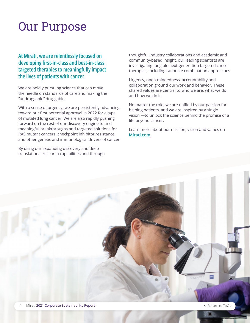### Our Purpose

**At Mirati, we are relentlessly focused on developing first-in-class and best-in-class targeted therapies to meaningfully impact the lives of patients with cancer.** 

We are boldly pursuing science that can move the needle on standards of care and making the "undruggable" druggable.

With a sense of urgency, we are persistently advancing toward our first potential approval in 2022 for a type of mutated lung cancer. We are also rapidly pushing forward on the rest of our discovery engine to find meaningful breakthroughs and targeted solutions for RAS mutant cancers, checkpoint inhibitor resistance and other genetic and immunological drivers of cancer.

By using our expanding discovery and deep translational research capabilities and through thoughtful industry collaborations and academic and community-based insight, our leading scientists are investigating tangible next-generation targeted cancer therapies, including rationale combination approaches.

Urgency, open-mindedness, accountability and collaboration ground our work and behavior. These shared values are central to who we are, what we do and how we do it.

No matter the role, we are unified by our passion for helping patients, and we are inspired by a single vision —to unlock the science behind the promise of a life beyond cancer.

Learn more about our mission, vision and values on **[Mirati.com](http://Mirati.com)**.

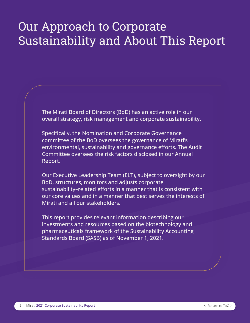## Our Approach to Corporate Sustainability and About This Report

The Mirati Board of Directors (BoD) has an active role in our overall strategy, risk management and corporate sustainability.

Specifically, the Nomination and Corporate Governance committee of the BoD oversees the governance of Mirati's environmental, sustainability and governance efforts. The Audit Committee oversees the risk factors disclosed in our Annual Report.

Our Executive Leadership Team (ELT), subject to oversight by our BoD, structures, monitors and adjusts corporate sustainability–related efforts in a manner that is consistent with our core values and in a manner that best serves the interests of Mirati and all our stakeholders.

This report provides relevant information describing our investments and resources based on the biotechnology and pharmaceuticals framework of the Sustainability Accounting Standards Board (SASB) as of November 1, 2021.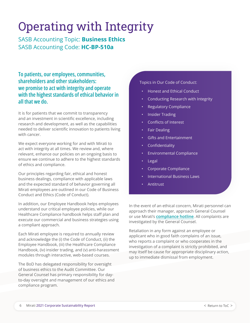# Operating with Integrity

SASB Accounting Topic: **Business Ethics** SASB Accounting Code: **HC-BP-510a**

**To patients, our employees, communities, shareholders and other stakeholders: we promise to act with integrity and operate with the highest standards of ethical behavior in all that we do.** 

It is for patients that we commit to transparency and an investment in scientific excellence, including research and development, as well as the capabilities needed to deliver scientific innovation to patients living with cancer.

We expect everyone working for and with Mirati to act with integrity at all times. We review and, where relevant, enhance our policies on an ongoing basis to ensure we continue to adhere to the highest standards of ethics and compliance.

Our principles regarding fair, ethical and honest business dealings, compliance with applicable laws and the expected standard of behavior governing all Mirati employees are outlined in our Code of Business Conduct and Ethics (Code of Conduct).

In addition, our Employee Handbook helps employees understand our critical employee policies, while our Healthcare Compliance handbook helps staff plan and execute our commercial and business strategies using a compliant approach.

Each Mirati employee is required to annually review and acknowledge the (i) the Code of Conduct, (ii) the Employee Handbook, (iii) the Healthcare Compliance Handbook, (iv) insider trading, and (v) anti-harassment modules through interactive, web-based courses.

The BoD has delegated responsibility for oversight of business ethics to the Audit Committee. Our General Counsel has primary responsibility for dayto-day oversight and management of our ethics and compliance program.

Topics in Our Code of Conduct:

- Honest and Ethical Conduct
- Conducting Research with Integrity
- Regulatory Compliance
- Insider Trading
- Conflicts of Interest
- Fair Dealing
- Gifts and Entertainment
- Confidentiality
- Environmental Compliance
- Legal
- Corporate Compliance
- International Business Laws
- Antitrust

In the event of an ethical concern, Mirati personnel can approach their manager, approach General Counsel or use Mirati's **[compliance hotline](https://secure.ethicspoint.com/domain/media/en/gui/51432/index.html)**. All complaints are investigated by the General Counsel.

Retaliation in any form against an employee or applicant who in good faith complains of an issue, who reports a complaint or who cooperates in the investigation of a complaint is strictly prohibited, and may itself be cause for appropriate disciplinary action, up to immediate dismissal from employment.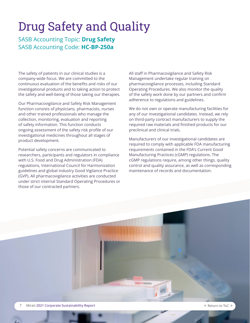## Drug Safety and Quality

SASB Accounting Topic: **Drug Safety** SASB Accounting Code: **HC-BP-250a**

The safety of patients in our clinical studies is a company-wide focus. We are committed to the continuous evaluation of the benefits and risks of our investigational products and to taking action to protect the safety and well-being of those taking our therapies.

Our Pharmacovigilance and Safety Risk Management function consists of physicians, pharmacists, nurses and other trained professionals who manage the collection, monitoring, evaluation and reporting of safety information. This function conducts ongoing assessment of the safety risk profile of our investigational medicines throughout all stages of product development.

Potential safety concerns are communicated to researchers, participants and regulators in compliance with U.S. Food and Drug Administration (FDA) regulations, International Council for Harmonization guidelines and global industry Good Vigilance Practice (GVP). All pharmacovigilance activities are conducted under strict internal Standard Operating Procedures or those of our contracted partners.

All staff in Pharmacovigilance and Safety Risk Management undertake regular training on pharmacovigilance processes, including Standard Operating Procedures. We also monitor the quality of the safety work done by our partners and confirm adherence to regulations and guidelines.

We do not own or operate manufacturing facilities for any of our investigational candidates. Instead, we rely on third-party contract manufacturers to supply the required raw materials and finished products for our preclinical and clinical trials.

Manufacturers of our investigational candidates are required to comply with applicable FDA manufacturing requirements contained in the FDA's Current Good Manufacturing Practices (cGMP) regulations. The cGMP regulations require, among other things, quality control and quality assurance, as well as corresponding maintenance of records and documentation.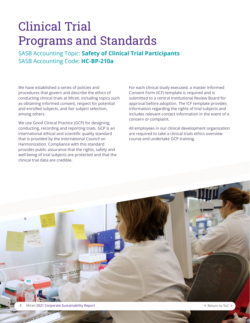## Clinical Trial Programs and Standards

SASB Accounting Topic: **Safety of Clinical Trial Participants**  SASB Accounting Code: **HC-BP-210a**

We have established a series of policies and procedures that govern and describe the ethics of conducting clinical trials at Mirati, including topics such as obtaining informed consent, respect for potential and enrolled subjects, and fair subject selection, among others.

We use Good Clinical Practice (GCP) for designing, conducting, recording and reporting trials. GCP is an international ethical and scientific quality standard that is provided by the International Council on Harmonization. Compliance with this standard provides public assurance that the rights, safety and well-being of trial subjects are protected and that the clinical trial data are credible.

For each clinical study executed, a master Informed Consent Form (ICF) template is required and is submitted to a central Institutional Review Board for approval before adoption. The ICF template provides information regarding the rights of trial subjects and includes relevant contact information in the event of a concern or complaint.

All employees in our clinical development organization are required to take a clinical trials ethics overview course and undertake GCP training.

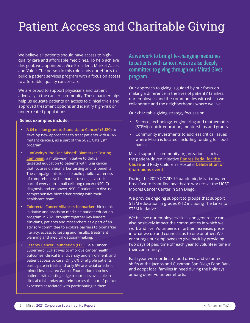# Patient Access and Charitable Giving

We believe all patients should have access to highquality care and affordable medicines. To help achieve this goal, we appointed a Vice President, Market Access and Value. The person in this role leads our efforts to build a patient services program with a focus on access to affordable, quality cancer care.

We are proud to support physicians and patient advocacy in the cancer community. These partnerships help us educate patients on access to clinical trials and approved treatment options and identify high-risk or undertreated populations.

#### **Select examples include:**

- **[A \\$4 million grant to Stand Up to Cancer® \(SU2C\)](https://ir.mirati.com/press-releases/press-release-details/2021/Stand-Up-to-Cancer-Announces-4-Million-Grant-From-Mirati-Therapeutics--to-Support-Research-on-KRAS-Mutant-Cancers/default.aspx)** to develop new approaches to treat patients with KRAS mutant cancers, as a part of the SU2C Catalyst® program.
- **[LunGevity's "No One Missed" Biomarker Testing](https://www.lungevity.org/noonemissed)  [Campaign](https://www.lungevity.org/noonemissed)**, a multi-year initiative to deliver targeted education to patients with lung cancer that focuses on biomarker testing and its benefits. The campaign mission is to build public awareness of comprehensive biomarker testing as a critical part of every non–small-cell lung cancer (NSCLC) diagnosis and empower NSCLC patients to discuss comprehensive biomarker testing with their healthcare team.
- **[Colorectal Cancer Alliance's biomarker](https://www.ccalliance.org/research/library/biomarkers)** think tank initiative and precision medicine patient education program in 2021 brought together key leaders, clinicians, patients and researchers as a part of an advisory committee to explore barriers to biomarker literacy, access to testing and results, treatment planning and medical decision-making.
- **[Lazarex Cancer Foundation \(LCF\)](https://www.lazarex.org/)**: Be a Cancer Superhero! LCF strives to improve cancer health outcomes, clinical trial diversity and enrollment, and patient access to care. Only 6% of eligible patients participate in trials and only 5% are racial or ethnic minorities. Lazarex Cancer Foundation matches patients with cutting edge treatments available in clinical trials today and reimburses the out-of-pocket expenses associated with participating in them.

**As we work to bring life-changing medicines to patients with cancer, we are also deeply committed to giving through our Mirati Gives program.**

Our approach to giving is guided by our focus on making a difference in the lives of patients' families, our employees and the communities with which we collaborate and the neighborhoods where we live.

Our charitable giving strategy focuses on:

- Science, technology, engineering and mathematics (STEM)-centric education, mentorships and grants
- Community investments to address critical issues where Mirati is located, including funding for food banks

Mirati supports community organizations, such as the patient-driven initiative **[Padres Pedal for the](https://protect-us.mimecast.com/s/FNR4C0R9rMHQ59oEHDXjir?domain=gopedal.org)  [Cause](https://protect-us.mimecast.com/s/FNR4C0R9rMHQ59oEHDXjir?domain=gopedal.org)** and Rady Children's Hospital **[Celebration of](https://protect-us.mimecast.com/s/1-QaCgJk9yUKRj0gi2dpS2?domain=secure.radyfoundation.org)  [Champions event](https://protect-us.mimecast.com/s/1-QaCgJk9yUKRj0gi2dpS2?domain=secure.radyfoundation.org)**.

During the 2020 COVID-19 pandemic, Mirati donated breakfast to front-line healthcare workers at the UCSD Moores Cancer Center in San Diego.

We provide ongoing support to groups that support STEM education in grades K-12 including The Links to STEM initiative.

We believe our employees' skills and generosity can also positively impact the communities in which we work and live. Volunteerism further increases pride in what we do and connects us to one another. We encourage our employees to give back by providing two days of paid time off each year to volunteer time in their community.

Each year we coordinate food drives and volunteer shifts at the Jacobs and Cushman San Diego Food Bank and adopt local families in need during the holidays, among other volunteer efforts.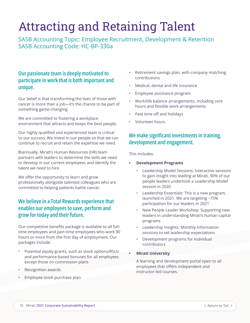# Attracting and Retaining Talent

SASB Accounting Topic: Employee Recruitment, Development & Retention SASB Accounting Code: HC-BP-330a

### **Our passionate team is deeply motivated to participate in work that is both important and unique.**

Our belief is that transforming the lives of those with cancer is more than a job—it's the chance to be part of something game-changing.

We are committed to fostering a workplace environment that attracts and keeps the best people.

Our highly qualified and experienced team is critical to our success. We invest in our people so that we can continue to recruit and retain the expertise we need.

Biannually, Mirati's Human Resources (HR) team partners with leaders to determine the skills we need to develop in our current employees and identify the talent we need to hire.

We offer the opportunity to learn and grow professionally alongside talented colleagues who are committed to helping patients battle cancer.

### **We believe in a Total Rewards experience that enables our employees to save, perform and grow for today and their future.**

Our competitive benefits package is available to all fulltime employees and part-time employees who work 30 hours or more from the first day of employment. Our packages include:

- Potential equity grants, such as stock options/RSUs and performance-based bonuses for all employees except those on commission plans
- Recognition awards
- Employee stock purchase plan
- Retirement savings plan, with company matching contributions
- Medical, dental and life insurance
- Employee assistance program
- Work/life balance arrangements, including core hours and flexible work arrangements
- Paid time off and holidays
- Volunteer hours

### **We make significant investments in training, development and engagement.**

This includes:

- **• Development Programs**
	- Leadership Model Sessions: Interactive sessions to gain insight into leading at Mirati. 90% of our people leaders undertook a Leadership Model session in 2020
	- Leadership Essentials: This is a new program, launched in 2021. We are targeting ~75% participation for our leaders in 2021
	- New People Leader Workshop: Supporting new leaders in understanding Mirati's human capital programs
	- Leadership Insights: Monthly information sessions to set leadership expectations
	- Development programs for individual contributors
- **• Mirati University**

A learning and development portal open to all employees that offers independent and instructor-led courses.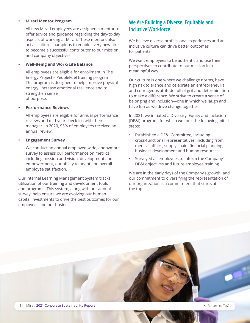#### **• Mirati Mentor Program**

All new Mirati employees are assigned a mentor to offer advice and guidance regarding the day-to-day aspects of working at Mirati. These mentors also act as culture champions to enable every new hire to become a successful contributor to our mission and company objectives.

#### **• Well-Being and Work/Life Balance**

All employees are eligible for enrollment in The Energy Project – PeopleFuel training program. The program is designed to help improve physical energy, increase emotional resilience and to strengthen sense of purpose.

#### **• Performance Reviews**

All employees are eligible for annual performance reviews and mid-year check-ins with their manager. In 2020, 95% of employees received an annual review.

#### **• Engagement Survey**

We conduct an annual employee-wide, anonymous survey to assess our performance on metrics including mission and vision, development and empowerment, our ability to adapt and overall employee satisfaction.

Our internal Learning Management System tracks utilization of our training and development tools and programs. This system, along with our annual survey, help ensure we are evolving our human capital investments to drive the best outcomes for our employees and our business.

### **We Are Building a Diverse, Equitable and Inclusive Workforce**

We believe diverse professional experiences and an inclusive culture can drive better outcomes for patients.

We want employees to be authentic and use their perspectives to contribute to our mission in a meaningful way.

Our culture is one where we challenge norms, have high risk tolerance and celebrate an entrepreneurial and courageous attitude full of grit and determination to make a difference. We strive to create a sense of belonging and inclusion—one in which we laugh and have fun as we drive change together.

In 2021, we initiated a Diversity, Equity and Inclusion (DE&I) program, for which we took the following initial steps:

- Established a DE&I Committee, including cross-functional representatives, including from medical affairs, supply chain, financial planning, business development and human resources
- Surveyed all employees to inform the Company's DE&I objectives and future employee training

We are in the early days of the Company's growth, and our commitment to diversifying the representation of our organization is a commitment that starts at the top.

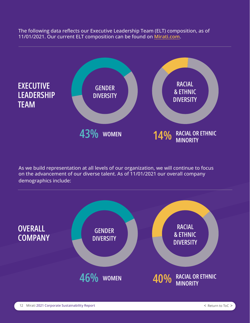The following data reflects our Executive Leadership Team (ELT) composition, as of 11/01/2021. Our current ELT composition can be found on **Mirati.com**.



As we build representation at all levels of our organization, we will continue to focus on the advancement of our diverse talent. As of 11/01/2021 our overall company demographics include:

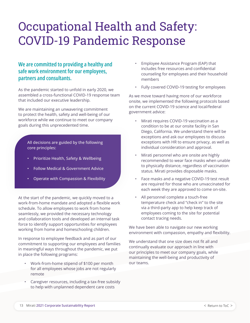## Occupational Health and Safety: COVID-19 Pandemic Response

### **We are committed to providing a healthy and safe work environment for our employees, partners and consultants.**

As the pandemic started to unfold in early 2020, we assembled a cross-functional COVID-19 response team that included our executive leadership.

We are maintaining an unwavering commitment to protect the health, safety and well-being of our workforce while we continue to meet our company goals during this unprecedented time.

All decisions are guided by the following core principles:

- Prioritize Health, Safety & Wellbeing
- Follow Medical & Government Advice
- Operate with Compassion & Flexibility

At the start of the pandemic, we quickly moved to a work-from-home mandate and adopted a flexible work schedule. To allow employees to work from home seamlessly, we provided the necessary technology and collaboration tools and developed an internal task force to identify support opportunities for employees working from home and homeschooling children.

In response to employee feedback and as part of our commitment to supporting our employees and families in meaningful ways throughout the pandemic, we put in place the following programs:

- Work-from-home stipend of \$100 per month for all employees whose jobs are not regularly remote
- Caregiver resources, including a tax-free subsidy to help with unplanned dependent care costs
- Employee Assistance Program (EAP) that includes free resources and confidential counseling for employees and their household members
- Fully covered COVID-19 testing for employees

As we move toward having more of our workforce onsite, we implemented the following protocols based on the current COVID-19 science and local/federal government advice:

- Mirati requires COVID-19 vaccination as a condition to be at our onsite facility in San Diego, California. We understand there will be exceptions and ask our employees to discuss exceptions with HR to ensure privacy, as well as individual consideration and approval.
- Mirati personnel who are onsite are highly recommended to wear face masks when unable to physically distance, regardless of vaccination status. Mirati provides disposable masks.
- Face masks and a negative COVID-19 test result are required for those who are unvaccinated for each week they are approved to come on-site.
- All personnel complete a touch-free temperature check and "check in" to the site via a third-party app to help keep track of employees coming to the site for potential contact tracing needs.

We have been able to navigate our new working environment with compassion, empathy and flexibility.

We understand that one size does not fit all and continually evaluate our approach in line with our principles to meet our company goals, while maintaining the well-being and productivity of our teams.